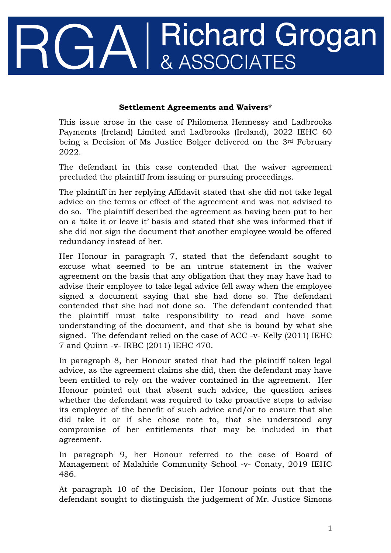## Richard Grogan<br>& ASSOCIATES I

## **Settlement Agreements and Waivers\***

This issue arose in the case of Philomena Hennessy and Ladbrooks Payments (Ireland) Limited and Ladbrooks (Ireland), 2022 IEHC 60 being a Decision of Ms Justice Bolger delivered on the 3rd February 2022.

The defendant in this case contended that the waiver agreement precluded the plaintiff from issuing or pursuing proceedings.

The plaintiff in her replying Affidavit stated that she did not take legal advice on the terms or effect of the agreement and was not advised to do so. The plaintiff described the agreement as having been put to her on a 'take it or leave it' basis and stated that she was informed that if she did not sign the document that another employee would be offered redundancy instead of her.

Her Honour in paragraph 7, stated that the defendant sought to excuse what seemed to be an untrue statement in the waiver agreement on the basis that any obligation that they may have had to advise their employee to take legal advice fell away when the employee signed a document saying that she had done so. The defendant contended that she had not done so. The defendant contended that the plaintiff must take responsibility to read and have some understanding of the document, and that she is bound by what she signed. The defendant relied on the case of ACC -v- Kelly (2011) IEHC 7 and Quinn -v- IRBC (2011) IEHC 470.

In paragraph 8, her Honour stated that had the plaintiff taken legal advice, as the agreement claims she did, then the defendant may have been entitled to rely on the waiver contained in the agreement. Her Honour pointed out that absent such advice, the question arises whether the defendant was required to take proactive steps to advise its employee of the benefit of such advice and/or to ensure that she did take it or if she chose note to, that she understood any compromise of her entitlements that may be included in that agreement.

In paragraph 9, her Honour referred to the case of Board of Management of Malahide Community School -v- Conaty, 2019 IEHC 486.

At paragraph 10 of the Decision, Her Honour points out that the defendant sought to distinguish the judgement of Mr. Justice Simons